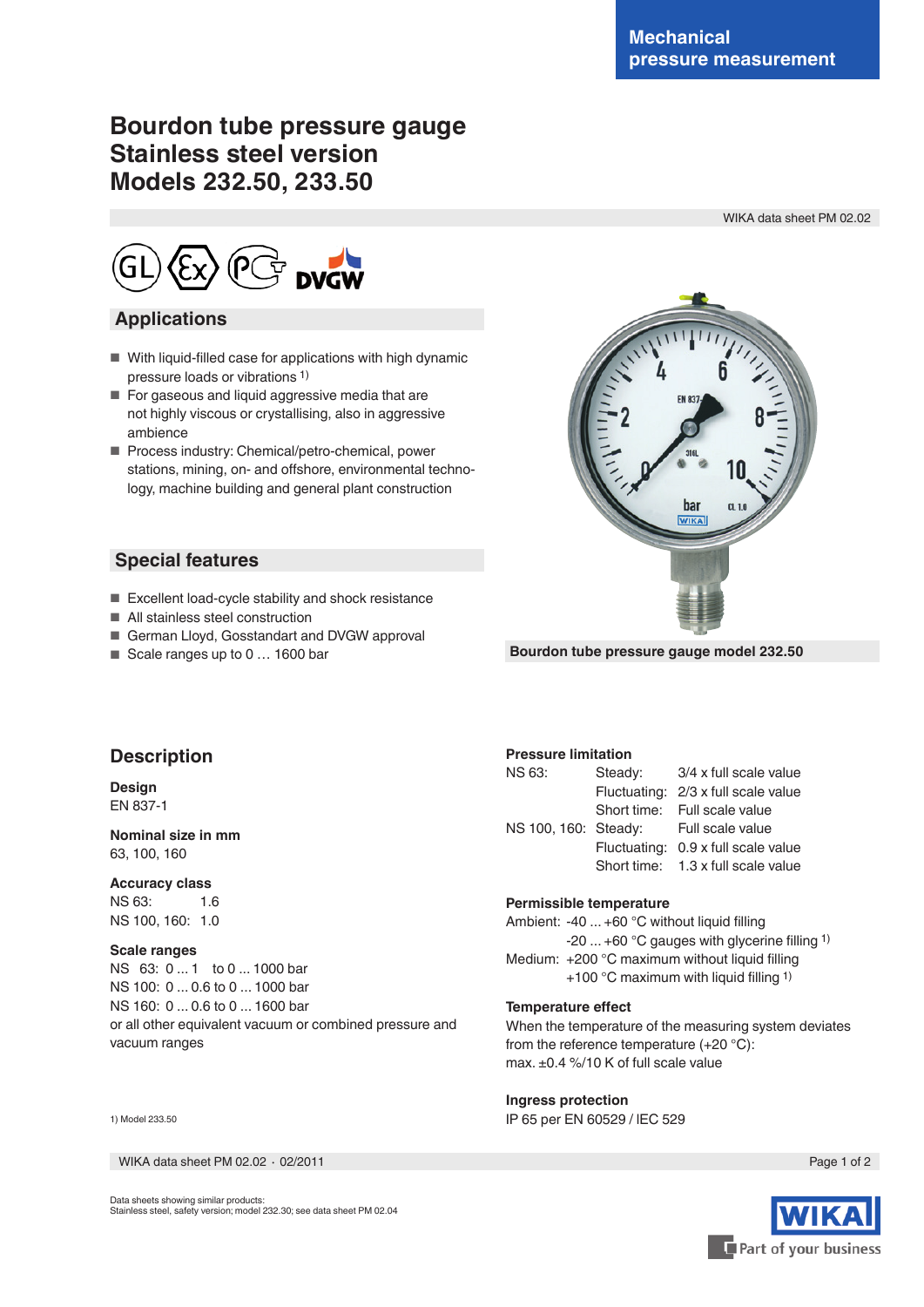WIKA data sheet PM 02.02

# **Bourdon tube pressure gauge Stainless steel version Models 232.50, 233.50**

## **Applications**

- With liquid-filled case for applications with high dynamic pressure loads or vibrations 1)
- For gaseous and liquid aggressive media that are not highly viscous or crystallising, also in aggressive ambience
- Process industry: Chemical/petro-chemical, power stations, mining, on- and offshore, environmental technology, machine building and general plant construction

## **Special features**

- Excellent load-cycle stability and shock resistance
- All stainless steel construction
- German Lloyd, Gosstandart and DVGW approval
- Scale ranges up to 0 ... 1600 bar



**Bourdon tube pressure gauge model 232.50**

## **Description**

#### **Design** EN 837-1

### **Nominal size in mm** 63, 100, 160

#### **Accuracy class**

NS 63: 1.6 NS 100, 160: 1.0

#### **Scale ranges**

NS 63: 0 ... 1 to 0 ... 1000 bar NS 100: 0 ... 0.6 to 0 ... 1000 bar NS 160: 0 ... 0.6 to 0 ... 1600 bar or all other equivalent vacuum or combined pressure and vacuum ranges

#### 1) Model 233.50

WIKA data sheet PM 02.02 ⋅ 02/2011 Page 1 of 2

## **Pressure limitation**

| NS 63:               | Steady: | 3/4 x full scale value              |  |  |  |  |  |  |  |  |
|----------------------|---------|-------------------------------------|--|--|--|--|--|--|--|--|
|                      |         | Fluctuating: 2/3 x full scale value |  |  |  |  |  |  |  |  |
|                      |         | Short time: Full scale value        |  |  |  |  |  |  |  |  |
| NS 100, 160: Steady: |         | Full scale value                    |  |  |  |  |  |  |  |  |
|                      |         | Fluctuating: 0.9 x full scale value |  |  |  |  |  |  |  |  |
|                      |         | Short time: 1.3 x full scale value  |  |  |  |  |  |  |  |  |
|                      |         |                                     |  |  |  |  |  |  |  |  |

#### **Permissible temperature**

Ambient: -40 ... +60 °C without liquid flling -20 ... +60 °C gauges with glycerine flling 1) Medium: +200 °C maximum without liquid filling +100 °C maximum with liquid flling 1)

#### **Temperature efect**

When the temperature of the measuring system deviates from the reference temperature (+20 °C): max. ±0.4 %/10 K of full scale value

#### **Ingress protection**

IP 65 per EN 60529 / lEC 529



Data sheets showing similar products: Stainless steel, safety version; model 232.30; see data sheet PM 02.04